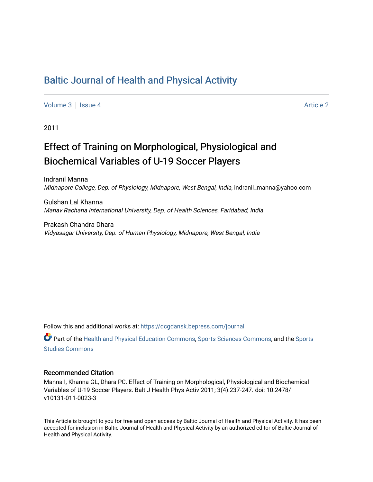# [Baltic Journal of Health and Physical Activity](https://dcgdansk.bepress.com/journal)

[Volume 3](https://dcgdansk.bepress.com/journal/vol3) | [Issue 4](https://dcgdansk.bepress.com/journal/vol3/iss4) Article 2

2011

# Effect of Training on Morphological, Physiological and Biochemical Variables of U-19 Soccer Players

Indranil Manna Midnapore College, Dep. of Physiology, Midnapore, West Bengal, India, indranil\_manna@yahoo.com

Gulshan Lal Khanna Manav Rachana International University, Dep. of Health Sciences, Faridabad, India

Prakash Chandra Dhara Vidyasagar University, Dep. of Human Physiology, Midnapore, West Bengal, India

Follow this and additional works at: [https://dcgdansk.bepress.com/journal](https://dcgdansk.bepress.com/journal?utm_source=dcgdansk.bepress.com%2Fjournal%2Fvol3%2Fiss4%2F2&utm_medium=PDF&utm_campaign=PDFCoverPages)

Part of the [Health and Physical Education Commons](http://network.bepress.com/hgg/discipline/1327?utm_source=dcgdansk.bepress.com%2Fjournal%2Fvol3%2Fiss4%2F2&utm_medium=PDF&utm_campaign=PDFCoverPages), [Sports Sciences Commons](http://network.bepress.com/hgg/discipline/759?utm_source=dcgdansk.bepress.com%2Fjournal%2Fvol3%2Fiss4%2F2&utm_medium=PDF&utm_campaign=PDFCoverPages), and the [Sports](http://network.bepress.com/hgg/discipline/1198?utm_source=dcgdansk.bepress.com%2Fjournal%2Fvol3%2Fiss4%2F2&utm_medium=PDF&utm_campaign=PDFCoverPages)  [Studies Commons](http://network.bepress.com/hgg/discipline/1198?utm_source=dcgdansk.bepress.com%2Fjournal%2Fvol3%2Fiss4%2F2&utm_medium=PDF&utm_campaign=PDFCoverPages) 

#### Recommended Citation

Manna I, Khanna GL, Dhara PC. Effect of Training on Morphological, Physiological and Biochemical Variables of U-19 Soccer Players. Balt J Health Phys Activ 2011; 3(4):237-247. doi: 10.2478/ v10131-011-0023-3

This Article is brought to you for free and open access by Baltic Journal of Health and Physical Activity. It has been accepted for inclusion in Baltic Journal of Health and Physical Activity by an authorized editor of Baltic Journal of Health and Physical Activity.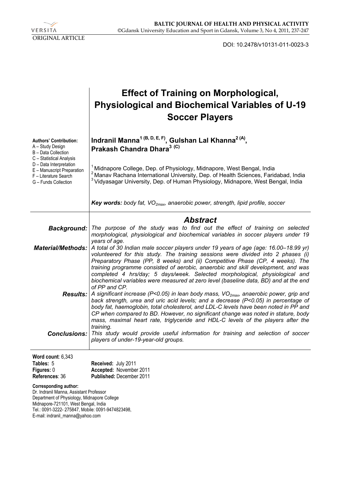

DOI: 10.2478/v10131-011-0023-3

|                                                                                                                                                                                                                                                         | <b>Effect of Training on Morphological,</b><br><b>Physiological and Biochemical Variables of U-19</b><br><b>Soccer Players</b>                                                                                                                                                                                                                                                                                                                                                                                                                          |
|---------------------------------------------------------------------------------------------------------------------------------------------------------------------------------------------------------------------------------------------------------|---------------------------------------------------------------------------------------------------------------------------------------------------------------------------------------------------------------------------------------------------------------------------------------------------------------------------------------------------------------------------------------------------------------------------------------------------------------------------------------------------------------------------------------------------------|
| <b>Authors' Contribution:</b><br>A - Study Design<br>B - Data Collection                                                                                                                                                                                | Indranil Manna <sup>1 (B, D, E, F)</sup> , Gulshan Lal Khanna <sup>2 (A)</sup> ,<br>Prakash Chandra Dhara <sup>3 (C)</sup>                                                                                                                                                                                                                                                                                                                                                                                                                              |
| C - Statistical Analysis<br>D - Data Interpretation<br>E - Manuscript Preparation<br>F - Literature Search<br>G - Funds Collection                                                                                                                      | <sup>1</sup> Midnapore College, Dep. of Physiology, Midnapore, West Bengal, India<br><sup>2</sup> Manav Rachana International University, Dep. of Health Sciences, Faridabad, India<br><sup>3</sup> Vidyasagar University, Dep. of Human Physiology, Midnapore, West Bengal, India                                                                                                                                                                                                                                                                      |
|                                                                                                                                                                                                                                                         | <b>Key words:</b> body fat, $VO_{2max}$ , anaerobic power, strength, lipid profile, soccer                                                                                                                                                                                                                                                                                                                                                                                                                                                              |
|                                                                                                                                                                                                                                                         | <b>Abstract</b>                                                                                                                                                                                                                                                                                                                                                                                                                                                                                                                                         |
|                                                                                                                                                                                                                                                         | Background:   The purpose of the study was to find out the effect of training on selected<br>morphological, physiological and biochemical variables in soccer players under 19                                                                                                                                                                                                                                                                                                                                                                          |
| <b>Material/Methods:</b>                                                                                                                                                                                                                                | years of age.<br>A total of 30 Indian male soccer players under 19 years of age (age: 16.00-18.99 yr)<br>volunteered for this study. The training sessions were divided into 2 phases (i)<br>Preparatory Phase (PP, 8 weeks) and (ii) Competitive Phase (CP, 4 weeks). The<br>training programme consisted of aerobic, anaerobic and skill development, and was<br>completed 4 hrs/day; 5 days/week. Selected morphological, physiological and<br>biochemical variables were measured at zero level (baseline data, BD) and at the end<br>of PP and CP. |
|                                                                                                                                                                                                                                                         | <b>Results:</b> A significant increase (P<0.05) in lean body mass, $VO_{2max}$ , anaerobic power, grip and<br>back strength, urea and uric acid levels; and a decrease (P<0.05) in percentage of<br>body fat, haemoglobin, total cholesterol, and LDL-C levels have been noted in PP and<br>CP when compared to BD. However, no significant change was noted in stature, body<br>mass, maximal heart rate, triglyceride and HDL-C levels of the players after the<br>training.                                                                          |
| <b>Conclusions:</b>                                                                                                                                                                                                                                     | This study would provide useful information for training and selection of soccer<br>players of under-19-year-old groups.                                                                                                                                                                                                                                                                                                                                                                                                                                |
| Word count: 6,343                                                                                                                                                                                                                                       |                                                                                                                                                                                                                                                                                                                                                                                                                                                                                                                                                         |
| Tables: 5<br>Figures: 0<br>References: 36                                                                                                                                                                                                               | Received: July 2011<br>Accepted: November 2011<br>Published: December 2011                                                                                                                                                                                                                                                                                                                                                                                                                                                                              |
| <b>Corresponding author:</b><br>Dr. Indranil Manna, Assistant Professor<br>Department of Physiology, Midnapore College<br>Midnapore-721101, West Bengal, India<br>Tel.: 0091-3222- 275847, Mobile: 0091-9474823498,<br>E-mail: indranil_manna@yahoo.com |                                                                                                                                                                                                                                                                                                                                                                                                                                                                                                                                                         |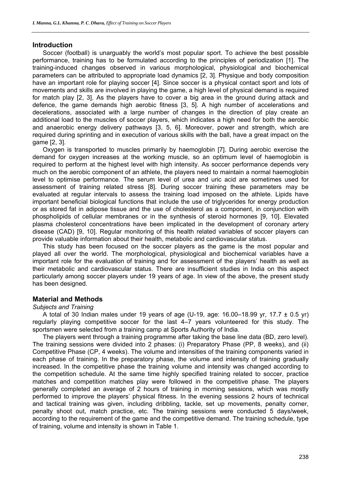# **Introduction**

Soccer (football) is unarguably the world's most popular sport. To achieve the best possible performance, training has to be formulated according to the principles of periodization [1]. The training-induced changes observed in various morphological, physiological and biochemical parameters can be attributed to appropriate load dynamics [2, 3]. Physique and body composition have an important role for playing soccer [4]. Since soccer is a physical contact sport and lots of movements and skills are involved in playing the game, a high level of physical demand is required for match play [2, 3]. As the players have to cover a big area in the ground during attack and defence, the game demands high aerobic fitness [3, 5]. A high number of accelerations and decelerations, associated with a large number of changes in the direction of play create an additional load to the muscles of soccer players, which indicates a high need for both the aerobic and anaerobic energy delivery pathways [3, 5, 6]. Moreover, power and strength, which are required during sprinting and in execution of various skills with the ball, have a great impact on the game [2, 3].

Oxygen is transported to muscles primarily by haemoglobin [7]. During aerobic exercise the demand for oxygen increases at the working muscle, so an optimum level of haemoglobin is required to perform at the highest level with high intensity. As soccer performance depends very much on the aerobic component of an athlete, the players need to maintain a normal haemoglobin level to optimise performance. The serum level of urea and uric acid are sometimes used for assessment of training related stress [8]. During soccer training these parameters may be evaluated at regular intervals to assess the training load imposed on the athlete. Lipids have important beneficial biological functions that include the use of triglycerides for energy production or as stored fat in adipose tissue and the use of cholesterol as a component, in conjunction with phospholipids of cellular membranes or in the synthesis of steroid hormones [9, 10]. Elevated plasma cholesterol concentrations have been implicated in the development of coronary artery disease (CAD) [9, 10]. Regular monitoring of this health related variables of soccer players can provide valuable information about their health, metabolic and cardiovascular status.

This study has been focused on the soccer players as the game is the most popular and played all over the world. The morphological, physiological and biochemical variables have a important role for the evaluation of training and for assessment of the players' health as well as their metabolic and cardiovascular status. There are insufficient studies in India on this aspect particularly among soccer players under 19 years of age. In view of the above, the present study has been designed.

# **Material and Methods**

#### *Subjects and Training*

A total of 30 Indian males under 19 years of age (U-19, age: 16.00–18.99 yr, 17.7  $\pm$  0.5 yr) regularly playing competitive soccer for the last 4–7 years volunteered for this study. The sportsmen were selected from a training camp at Sports Authority of India.

The players went through a training programme after taking the base line data (BD, zero level). The training sessions were divided into 2 phases: (i) Preparatory Phase (PP, 8 weeks), and (ii) Competitive Phase (CP, 4 weeks). The volume and intensities of the training components varied in each phase of training. In the preparatory phase, the volume and intensity of training gradually increased. In the competitive phase the training volume and intensity was changed according to the competition schedule. At the same time highly specified training related to soccer, practice matches and competition matches play were followed in the competitive phase. The players generally completed an average of 2 hours of training in morning sessions, which was mostly performed to improve the players' physical fitness. In the evening sessions 2 hours of technical and tactical training was given, including dribbling, tackle, set up movements, penalty corner, penalty shoot out, match practice, etc. The training sessions were conducted 5 days/week, according to the requirement of the game and the competitive demand. The training schedule, type of training, volume and intensity is shown in Table 1.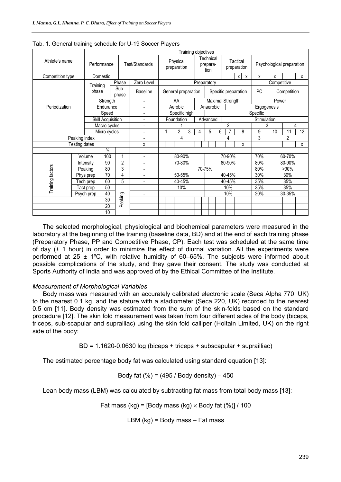|                               |               |                   |                 |                          |                          |                  |                     | Training objectives     |                               |                  |                      |                         |             |             |                           |     |   |    |    |                 |
|-------------------------------|---------------|-------------------|-----------------|--------------------------|--------------------------|------------------|---------------------|-------------------------|-------------------------------|------------------|----------------------|-------------------------|-------------|-------------|---------------------------|-----|---|----|----|-----------------|
| Athlete's name                |               | Performance       |                 |                          | Test/Standards           |                  |                     | Physical<br>preparation | Technical<br>prepara-<br>tion |                  |                      | Tactical<br>preparation |             |             | Psychological preparation |     |   |    |    |                 |
| Competition type              |               | Domestic          |                 |                          |                          |                  |                     |                         |                               |                  |                      |                         |             |             | $x \mid x$                |     | x | X  |    | x               |
|                               |               |                   |                 | Phase                    | Zero Level               | Preparatory      |                     |                         |                               |                  |                      |                         | Competitive |             |                           |     |   |    |    |                 |
|                               |               | Training<br>phase |                 | Sub-<br>phase            | <b>Baseline</b>          |                  | General preparation |                         |                               |                  | Specific preparation |                         |             |             | PC<br>Competition         |     |   |    |    |                 |
|                               |               |                   | Strength        |                          | $\overline{\phantom{a}}$ | AA               |                     |                         |                               | Maximal Strength |                      |                         |             |             | Power                     |     |   |    |    |                 |
| Periodization                 |               |                   | Endurance       |                          | $\overline{\phantom{0}}$ |                  |                     | Aerobic                 |                               |                  | Anaerobic            |                         |             |             | Ergogenesis               |     |   |    |    |                 |
|                               |               |                   | Speed           |                          | ÷,                       |                  |                     | Specific high           |                               |                  |                      |                         |             | Specific    |                           |     |   |    |    |                 |
|                               |               | Skill Acquisition |                 | $\overline{\phantom{a}}$ |                          |                  | Foundation          |                         |                               | Advanced         |                      |                         |             | Stimulation |                           |     |   |    |    |                 |
|                               |               | Macro cycles      |                 | -                        |                          |                  |                     | $\mathfrak{p}$          |                               |                  |                      | 4<br>3                  |             |             |                           |     |   |    |    |                 |
|                               |               |                   | Micro cycles    |                          | $\overline{\phantom{0}}$ |                  |                     | $\overline{2}$<br>3     | 4                             |                  | 5                    | 6                       |             |             | 8                         |     | 9 | 10 | 11 | $\overline{12}$ |
|                               | Peaking index |                   |                 | ÷                        | 4<br>4                   |                  |                     |                         | 3                             | $\overline{2}$   |                      |                         |             |             |                           |     |   |    |    |                 |
|                               | Testing dates |                   |                 |                          | X                        |                  |                     |                         |                               |                  |                      |                         |             |             | X                         |     |   |    |    | X               |
|                               |               |                   | $\%$            |                          |                          |                  |                     |                         |                               |                  |                      |                         |             |             |                           |     |   |    |    |                 |
|                               | Volume        |                   | 100             | 1                        | $\overline{\phantom{0}}$ | 80-90%<br>70-90% |                     |                         |                               | 70%              | 60-70%               |                         |             |             |                           |     |   |    |    |                 |
|                               | Intensity     |                   | 90              | $\overline{2}$           | ٠                        | 70-80%<br>80-90% |                     |                         |                               |                  | 80%                  | 80-90%                  |             |             |                           |     |   |    |    |                 |
| Peaking                       |               |                   | 80              | 3                        | $\overline{\phantom{a}}$ | 70-75%           |                     |                         |                               | 80%              | >90%                 |                         |             |             |                           |     |   |    |    |                 |
| Training factors<br>Tech prep |               | 70<br>Phys prep   |                 | $\overline{\mathbf{4}}$  | ۰                        | 50-55%           |                     |                         |                               | 40-45%           |                      |                         |             |             | 30%                       | 30% |   |    |    |                 |
|                               |               |                   | 60              | 5                        | $\overline{\phantom{0}}$ | 40-45%           |                     |                         | 40-45%                        |                  |                      |                         |             | 35%         | 35%                       |     |   |    |    |                 |
| Tact prep                     |               |                   | 50              |                          | $\overline{a}$           | 10%              |                     | 10%                     |                               |                  | 35%                  | 35%                     |             |             |                           |     |   |    |    |                 |
| Psych prep                    |               | 40                |                 | $\overline{\phantom{a}}$ |                          |                  |                     |                         | 10%                           |                  |                      |                         | 20%         | 30-35%      |                           |     |   |    |    |                 |
|                               |               |                   | 30              | Peaking                  |                          |                  |                     |                         |                               |                  |                      |                         |             |             |                           |     |   |    |    |                 |
|                               |               |                   | $\overline{20}$ |                          |                          |                  |                     |                         |                               |                  |                      |                         |             |             |                           |     |   |    |    |                 |
|                               |               |                   | 10              |                          |                          |                  |                     |                         |                               |                  |                      |                         |             |             |                           |     |   |    |    |                 |

Tab. 1. General training schedule for U-19 Soccer Players

The selected morphological, physiological and biochemical parameters were measured in the laboratory at the beginning of the training (baseline data, BD) and at the end of each training phase (Preparatory Phase, PP and Competitive Phase, CP). Each test was scheduled at the same time of day  $(t + 1$  hour) in order to minimize the effect of diurnal variation. All the experiments were performed at 25  $\pm$  1°C, with relative humidity of 60–65%. The subjects were informed about possible complications of the study, and they gave their consent. The study was conducted at Sports Authority of India and was approved of by the Ethical Committee of the Institute.

#### *Measurement of Morphological Variables*

Body mass was measured with an accurately calibrated electronic scale (Seca Alpha 770, UK) to the nearest 0.1 kg, and the stature with a stadiometer (Seca 220, UK) recorded to the nearest 0.5 cm [11]. Body density was estimated from the sum of the skin-folds based on the standard procedure [12]. The skin fold measurement was taken from four different sides of the body (biceps, triceps, sub-scapular and suprailiac) using the skin fold calliper (Holtain Limited, UK) on the right side of the body:

BD = 1.1620-0.0630 log (biceps + triceps + subscapular + suprailliac)

The estimated percentage body fat was calculated using standard equation [13]:

Body fat 
$$
(\%) = (495 / Body density) - 450
$$

Lean body mass (LBM) was calculated by subtracting fat mass from total body mass [13]:

Fat mass (kg) = [Body mass (kg)  $\times$  Body fat (%)] / 100

LBM  $(kg)$  = Body mass  $-$  Fat mass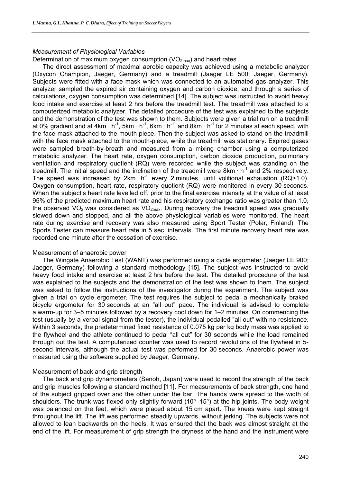# *Measurement of Physiological Variables*

# Determination of maximum oxygen consumption  $(VO_{2max})$  and heart rates

The direct assessment of maximal aerobic capacity was achieved using a metabolic analyzer (Oxycon Champion, Jaeger, Germany) and a treadmill (Jaeger LE 500; Jaeger, Germany). Subjects were fitted with a face mask which was connected to an automated gas analyzer. This analyzer sampled the expired air containing oxygen and carbon dioxide, and through a series of calculations, oxygen consumption was determined [14]. The subject was instructed to avoid heavy food intake and exercise at least 2 hrs before the treadmill test. The treadmill was attached to a computerized metabolic analyzer. The detailed procedure of the test was explained to the subjects and the demonstration of the test was shown to them. Subjects were given a trial run on a treadmill at 0% gradient and at 4km  $\cdot$  h<sup>-1</sup>, 5km  $\cdot$  h<sup>-1</sup>, 6km  $\cdot$  h<sup>-1</sup>, and 8km  $\cdot$  h<sup>-1</sup> for 2 minutes at each speed, with the face mask attached to the mouth-piece. Then the subject was asked to stand on the treadmill with the face mask attached to the mouth-piece, while the treadmill was stationary. Expired gases were sampled breath-by-breath and measured from a mixing chamber using a computerized metabolic analyzer. The heart rate, oxygen consumption, carbon dioxide production, pulmonary ventilation and respiratory quotient (RQ) were recorded while the subject was standing on the treadmill. The initial speed and the inclination of the treadmill were  $8km \cdot h^{-1}$  and  $2\%$  respectively. The speed was increased by  $2km \cdot h^{-1}$  every 2 minutes, until volitional exhaustion (RQ>1.0). Oxygen consumption, heart rate, respiratory quotient (RQ) were monitored in every 30 seconds. When the subject's heart rate levelled off, prior to the final exercise intensity at the value of at least 95% of the predicted maximum heart rate and his respiratory exchange ratio was greater than 1.0, the observed  $VO<sub>2</sub>$  was considered as  $VO<sub>2max</sub>$ . During recovery the treadmill speed was gradually slowed down and stopped, and all the above physiological variables were monitored. The heart rate during exercise and recovery was also measured using Sport Tester (Polar, Finland). The Sports Tester can measure heart rate in 5 sec. intervals. The first minute recovery heart rate was recorded one minute after the cessation of exercise.

#### Measurement of anaerobic power

The Wingate Anaerobic Test (WANT) was performed using a cycle ergometer (Jaeger LE 900; Jaeger, Germany) following a standard methodology [15]. The subject was instructed to avoid heavy food intake and exercise at least 2 hrs before the test. The detailed procedure of the test was explained to the subjects and the demonstration of the test was shown to them. The subject was asked to follow the instructions of the investigator during the experiment. The subject was given a trial on cycle ergometer. The test requires the subject to pedal a mechanically braked bicycle ergometer for 30 seconds at an "all out" pace. The individual is advised to complete a warm-up for 3–5 minutes followed by a recovery cool down for 1–2 minutes. On commencing the test (usually by a verbal signal from the tester), the individual pedalled "all out" with no resistance. Within 3 seconds, the predetermined fixed resistance of 0.075 kg per kg body mass was applied to the flywheel and the athlete continued to pedal "all out" for 30 seconds while the load remained through out the test. A computerized counter was used to record revolutions of the flywheel in 5 second intervals, although the actual test was performed for 30 seconds. Anaerobic power was measured using the software supplied by Jaeger, Germany.

#### Measurement of back and grip strength

The back and grip dynamometers (Senoh, Japan) were used to record the strength of the back and grip muscles following a standard method [11]. For measurements of back strength, one hand of the subject gripped over and the other under the bar. The hands were spread to the width of shoulders. The trunk was flexed only slightly forward (10°–15°) at the hip joints. The body weight was balanced on the feet, which were placed about 15 cm apart. The knees were kept straight throughout the lift. The lift was performed steadily upwards, without jerking. The subjects were not allowed to lean backwards on the heels. It was ensured that the back was almost straight at the end of the lift. For measurement of grip strength the dryness of the hand and the instrument were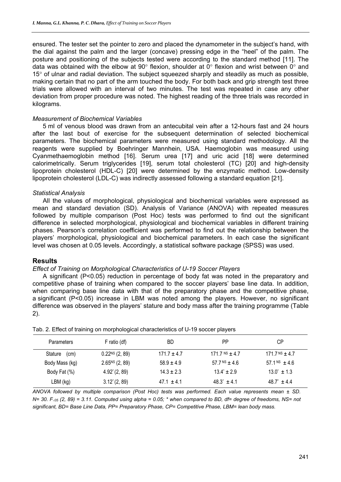ensured. The tester set the pointer to zero and placed the dynamometer in the subject's hand, with the dial against the palm and the larger (concave) pressing edge in the "heel" of the palm. The posture and positioning of the subjects tested were according to the standard method [11]. The data was obtained with the elbow at 90 $^{\circ}$  flexion, shoulder at 0 $^{\circ}$  flexion and wrist between 0 $^{\circ}$  and  $15^{\circ}$  of ulnar and radial deviation. The subject squeezed sharply and steadily as much as possible, making certain that no part of the arm touched the body. For both back and grip strength test three trials were allowed with an interval of two minutes. The test was repeated in case any other deviation from proper procedure was noted. The highest reading of the three trials was recorded in kilograms.

### *Measurement of Biochemical Variables*

5 ml of venous blood was drawn from an antecubital vein after a 12-hours fast and 24 hours after the last bout of exercise for the subsequent determination of selected biochemical parameters. The biochemical parameters were measured using standard methodology. All the reagents were supplied by Boehringer Mannhein, USA. Haemoglobin was measured using Cyanmethaemoglobin method [16]. Serum urea [17] and uric acid [18] were determined calorimetrically. Serum triglycerides [19], serum total cholesterol (TC) [20] and high-density lipoprotein cholesterol (HDL-C) [20] were determined by the enzymatic method. Low-density lipoprotein cholesterol (LDL-C) was indirectly assessed following a standard equation [21].

### *Statistical Analysis*

All the values of morphological, physiological and biochemical variables were expressed as mean and standard deviation (SD). Analysis of Variance (ANOVA) with repeated measures followed by multiple comparison (Post Hoc) tests was performed to find out the significant difference in selected morphological, physiological and biochemical variables in different training phases. Pearson's correlation coefficient was performed to find out the relationship between the players' morphological, physiological and biochemical parameters. In each case the significant level was chosen at 0.05 levels. Accordingly, a statistical software package (SPSS) was used.

# **Results**

#### *Effect of Training on Morphological Characteristics of U-19 Soccer Players*

A significant (P<0.05) reduction in percentage of body fat was noted in the preparatory and competitive phase of training when compared to the soccer players' base line data. In addition, when comparing base line data with that of the preparatory phase and the competitive phase, a significant (P<0.05) increase in LBM was noted among the players. However, no significant difference was observed in the players' stature and body mass after the training programme (Table 2).

| <b>Parameters</b> | F ratio (df)      | BD             | <b>PP</b>            | СP                     |
|-------------------|-------------------|----------------|----------------------|------------------------|
| Stature<br>(cm)   | $0.22NS$ (2, 89)  | $171.7 + 4.7$  | 171.7 $NS + 4.7$     | $171.7NS + 4.7$        |
| Body Mass (kg)    | $2.65NS$ (2, 89)  | $58.9 + 4.9$   | $57.7NS + 4.6$       | $57.1NS + 4.6$         |
| Body Fat (%)      | 4.92* (2, 89)     | $14.3 \pm 2.3$ | $13.4^* + 2.9$       | $13.0^{\circ} \pm 1.3$ |
| $LBM$ (kg)        | $3.12^{*}(2, 89)$ | $47.1 + 4.1$   | $48.3^{\circ}$ + 4.1 | $48.7^* + 4.4$         |

Tab. 2. Effect of training on morphological characteristics of U-19 soccer players

*ANOVA followed by multiple comparison (Post Hoc) tests was performed. Each value represents mean ± SD. N= 30. F.05 (2, 89) = 3.11. Computed using alpha = 0.05; \* when compared to BD, df= degree of freedoms, NS= not significant, BD= Base Line Data, PP= Preparatory Phase, CP= Competitive Phase, LBM= lean body mass.*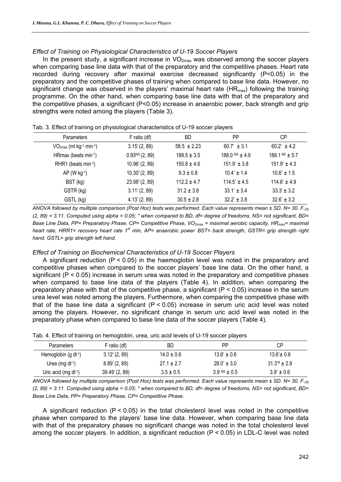### *Effect of Training on Physiological Characteristics of U-19 Soccer Players*

In the present study, a significant increase in  $VO<sub>2max</sub>$  was observed among the soccer players when comparing base line data with that of the preparatory and the competitive phases. Heart rate recorded during recovery after maximal exercise decreased significantly (P<0.05) in the preparatory and the competitive phases of training when compared to base line data. However, no significant change was observed in the players' maximal heart rate  $(HR_{max})$  following the training programme. On the other hand, when comparing base line data with that of the preparatory and the competitive phases, a significant (P<0.05) increase in anaerobic power, back strength and grip strengths were noted among the players (Table 3).

| <b>Parameters</b>        | F ratio (df)               | BD              | PP                      | <b>CP</b>                      |
|--------------------------|----------------------------|-----------------|-------------------------|--------------------------------|
| $VO2max$ (ml kg-1 min-1) | $3.15^{*}(2, 89)$          | $58.5 \pm 2.23$ | $60.7^{\circ} \pm 3.1$  | $60.2^* \pm 4.2$               |
| HRmax (beats min-1)      | 0.93 <sup>NS</sup> (2, 89) | $189.5 \pm 3.5$ | 188.0 $NS + 4.9$        | $188.1NS \pm 5.7$              |
| RHR1 (beats min-1)       | $10.96^{*}(2, 89)$         | $155.8 \pm 4.6$ | $151.9^{\circ} \pm 3.8$ | $151.9^{\circ} \pm 4.3$        |
| $AP (W kg-1)$            | $10.30^{*}(2, 89)$         | $9.3 \pm 0.8$   | $10.4^{\circ} \pm 1.4$  | $10.6^{\circ} \pm 1.5$         |
| BST (kg)                 | $23.98^{*}(2, 89)$         | $112.2 + 4.7$   | $114.5^{\circ} \pm 4.5$ | $114.6^{\circ} \pm 4.9$        |
| GSTR (kg)                | $3.11^{*}(2, 89)$          | $31.2 \pm 3.8$  | $33.1^{\circ} \pm 3.4$  | $33.3^{\circ} \pm 3.2^{\circ}$ |
| GSTL (kg)                | $4.13^{*}(2, 89)$          | $30.5 \pm 2.8$  | $32.2^{\circ} \pm 3.8$  | $32.6^{\circ} \pm 3.2$         |

Tab. 3. Effect of training on physiological characteristics of U-19 soccer players

*ANOVA followed by multiple comparison (Post Hoc) tests was performed. Each value represents mean ± SD. N= 30. F.05 (2, 89) = 3.11. Computed using alpha = 0.05; \* when compared to BD, df= degree of freedoms, NS= not significant, BD= Base Line Data, PP= Preparatory Phase, CP= Competitive Phase, VO<sub>2max</sub> = maximal aerobic capacity, HR<sub>max</sub>= maximal heart rate, HRR1= recovery heart rate 1st min, AP= anaerobic power BST= back strength, GSTR= grip strength right hand, GSTL= grip strength left hand.* 

#### *Effect of Training on Biochemical Characteristics of U-19 Soccer Players*

A significant reduction (P < 0.05) in the haemoglobin level was noted in the preparatory and competitive phases when compared to the soccer players' base line data. On the other hand, a significant (P < 0.05) increase in serum urea was noted in the preparatory and competitive phases when compared to base line data of the players (Table 4). In addition, when comparing the preparatory phase with that of the competitive phase, a significant ( $P < 0.05$ ) increase in the serum urea level was noted among the players. Furthermore, when comparing the competitive phase with that of the base line data a significant  $(P < 0.05)$  increase in serum uric acid level was noted among the players. However, no significant change in serum uric acid level was noted in the preparatory phase when compared to base line data of the soccer players (Table 4).

| <b>Parameters</b>           | F ratio (df)       | ВD             | РP                             | СP                    |
|-----------------------------|--------------------|----------------|--------------------------------|-----------------------|
| Hemoglobin $(g \, dl^{-1})$ | $3.12^{*}(2, 89)$  | $14.0 \pm 0.6$ | $13.6^{\circ} \pm 0.6$         | $13.6^{\circ}$ ± 0.6  |
| Urea (mg $dl^{-1}$ )        | $8.89^{*}(2, 89)$  | $27.1 \pm 2.7$ | $28.0^{\circ} \pm 3.0^{\circ}$ | $31.3^{*}$ ± 2.9      |
| Uric acid (mg $dl^{-1}$ )   | $39.49^{*}(2, 89)$ | $3.5 \pm 0.5$  | 3.9 NS $\pm$ 0.5               | $3.9^{\circ} \pm 0.6$ |

*ANOVA followed by multiple comparison (Post Hoc) tests was performed. Each value represents mean ± SD. N= 30. F.05 (2, 89) = 3.11. Computed using alpha = 0.05; \* when compared to BD, df= degree of freedoms, NS= not significant, BD= Base Line Data, PP= Preparatory Phase, CP= Competitive Phase.* 

A significant reduction  $(P < 0.05)$  in the total cholesterol level was noted in the competitive phase when compared to the players' base line data. However, when comparing base line data with that of the preparatory phases no significant change was noted in the total cholesterol level among the soccer players. In addition, a significant reduction (P < 0.05) in LDL-C level was noted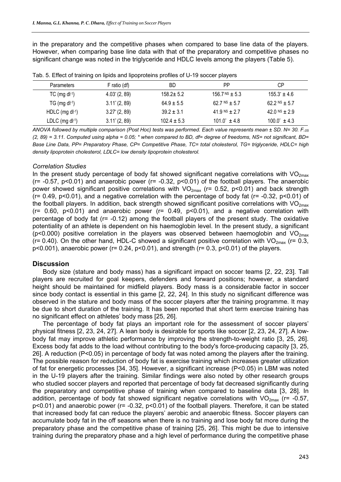in the preparatory and the competitive phases when compared to base line data of the players. However, when comparing base line data with that of the preparatory and competitive phases no significant change was noted in the triglyceride and HDLC levels among the players (Table 5).

| <b>Parameters</b>      | F ratio (df)           | BD              | РP                      | СP                      |
|------------------------|------------------------|-----------------|-------------------------|-------------------------|
| $TC$ (mg d $-1$ )      | $4.03^{*}$ (2, 89)     | $158.2 \pm 5.2$ | $156.7NS \pm 5.3$       | $155.3^{\circ} \pm 4.6$ |
| $TG$ (mg dl-1)         | $3.11^{\circ}$ (2, 89) | $64.9 \pm 5.5$  | 62.7 NS $\pm$ 5.7       | 62.2 NS $\pm$ 5.7       |
| HDLC (mg $dl^{-1}$ )   | $3.27^{\circ}$ (2, 89) | $39.2 \pm 3.1$  | 41.9 NS + 2.7           | 42.0 NS $\pm$ 2.9       |
| LDLC $(mg \, dl^{-1})$ | $3.11^{*}(2, 89)$      | $102.4 \pm 5.3$ | $101.0^{\circ} \pm 4.8$ | $100.0^{\circ} \pm 4.3$ |

Tab. 5. Effect of training on lipids and lipoproteins profiles of U-19 soccer players

*ANOVA followed by multiple comparison (Post Hoc) tests was performed. Each value represents mean ± SD. N= 30. F.05 (2, 89) = 3.11. Computed using alpha = 0.05; \* when compared to BD, df= degree of freedoms, NS= not significant, BD= Base Line Data, PP= Preparatory Phase, CP= Competitive Phase, TC= total cholesterol, TG= triglyceride, HDLC= high density lipoprotein cholesterol, LDLC= low density lipoprotein cholesterol.* 

#### *Correlation Studies*

In the present study percentage of body fat showed significant negative correlations with  $VO_{2max}$  $(r= -0.57, p<0.01)$  and anaerobic power  $(r= -0.32, p<0.01)$  of the football players. The anaerobic power showed significant positive correlations with  $VO_{2max}$  (r= 0.52, p<0.01) and back strength ( $r= 0.49$ ,  $p < 0.01$ ), and a negative correlation with the percentage of body fat ( $r= -0.32$ ,  $p < 0.01$ ) of the football players. In addition, back strength showed significant positive correlations with  $VO<sub>2max</sub>$  $(r= 0.60, p<0.01)$  and anaerobic power  $(r= 0.49, p<0.01)$ , and a negative correlation with percentage of body fat (r= -0.12) among the football players of the present study. The oxidative potentiality of an athlete is dependent on his haemoglobin level. In the present study, a significant ( $p$ <0.000) positive correlation in the players was observed between haemoglobin and  $VO<sub>2max</sub>$  $($ r= 0.40). On the other hand, HDL-C showed a significant positive correlation with VO<sub>2max</sub> (r= 0.3,  $p<0.001$ ), anaerobic power ( $r= 0.24$ ,  $p<0.01$ ), and strength ( $r= 0.3$ ,  $p<0.01$ ) of the players.

#### **Discussion**

Body size (stature and body mass) has a significant impact on soccer teams [2, 22, 23]. Tall players are recruited for goal keepers, defenders and forward positions; however, a standard height should be maintained for midfield players. Body mass is a considerable factor in soccer since body contact is essential in this game [2, 22, 24]. In this study no significant difference was observed in the stature and body mass of the soccer players after the training programme. It may be due to short duration of the training. It has been reported that short term exercise training has no significant effect on athletes' body mass [25, 26].

The percentage of body fat plays an important role for the assessment of soccer players' physical fitness [2, 23, 24, 27]. A lean body is desirable for sports like soccer [2, 23, 24, 27]. A lowbody fat may improve athletic performance by improving the strength-to-weight ratio [3, 25, 26]. Excess body fat adds to the load without contributing to the body's force-producing capacity [3, 25, 26]. A reduction (P<0.05) in percentage of body fat was noted among the players after the training. The possible reason for reduction of body fat is exercise training which increases greater utilization of fat for energetic processes [34, 35]. However, a significant increase (P<0.05) in LBM was noted in the U-19 players after the training. Similar findings were also noted by other research groups who studied soccer players and reported that percentage of body fat decreased significantly during the preparatory and competitive phase of training when compared to baseline data [3, 28]. In addition, percentage of body fat showed significant negative correlations with  $VO_{2max}$  (r= -0.57, p<0.01) and anaerobic power (r= -0.32, p<0.01) of the football players. Therefore, it can be stated that increased body fat can reduce the players' aerobic and anaerobic fitness. Soccer players can accumulate body fat in the off seasons when there is no training and lose body fat more during the preparatory phase and the competitive phase of training [25, 26]. This might be due to intensive training during the preparatory phase and a high level of performance during the competitive phase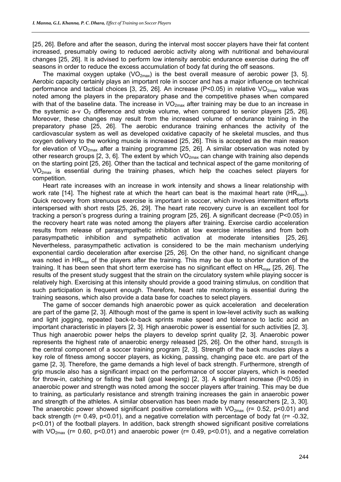[25, 26]. Before and after the season, during the interval most soccer players have their fat content increased, presumably owing to reduced aerobic activity along with nutritional and behavioural changes [25, 26]. It is advised to perform low intensity aerobic endurance exercise during the off seasons in order to reduce the excess accumulation of body fat during the off seasons.

The maximal oxygen uptake (VO<sub>2max</sub>) is the best overall measure of aerobic power [3, 5]. Aerobic capacity certainly plays an important role in soccer and has a major influence on technical performance and tactical choices [3, 25, 26]. An increase (P<0.05) in relative  $VO<sub>2max</sub>$  value was noted among the players in the preparatory phase and the competitive phases when compared with that of the baseline data. The increase in  $VO_{2max}$  after training may be due to an increase in the systemic a-v  $O_2$  difference and stroke volume, when compared to senior players [25, 26]. Moreover, these changes may result from the increased volume of endurance training in the preparatory phase [25, 26]. The aerobic endurance training enhances the activity of the cardiovascular system as well as developed oxidative capacity of he skeletal muscles, and thus oxygen delivery to the working muscle is increased [25, 26]. This is accepted as the main reason for elevation of  $VO_{2max}$  after a training programme [25, 26]. A similar observation was noted by other research groups [2, 3, 6]. The extent by which  $VO_{2max}$  can change with training also depends on the starting point [25, 26]. Other than the tactical and technical aspect of the game monitoring of VO2max is essential during the training phases, which help the coaches select players for competition.

Heart rate increases with an increase in work intensity and shows a linear relationship with work rate [14]. The highest rate at which the heart can beat is the maximal heart rate (HR<sub>max</sub>). Quick recovery from strenuous exercise is important in soccer, which involves intermittent efforts interspersed with short rests [25, 26, 29]. The heart rate recovery curve is an excellent tool for tracking a person's progress during a training program [25, 26]. A significant decrease (P<0.05) in the recovery heart rate was noted among the players after training. Exercise cardio acceleration results from release of parasympathetic inhibition at low exercise intensities and from both parasympathetic inhibition and sympathetic activation at moderate intensities [25, 26]. Nevertheless, parasympathetic activation is considered to be the main mechanism underlying exponential cardio deceleration after exercise [25, 26]. On the other hand, no significant change was noted in HR<sub>max</sub> of the players after the training. This may be due to shorter duration of the training. It has been seen that short term exercise has no significant effect on  $HR_{max}$  [25, 26]. The results of the present study suggest that the strain on the circulatory system while playing soccer is relatively high. Exercising at this intensity should provide a good training stimulus, on condition that such participation is frequent enough. Therefore, heart rate monitoring is essential during the training seasons, which also provide a data base for coaches to select players.

The game of soccer demands high anaerobic power as quick acceleration and deceleration are part of the game [2, 3]. Although most of the game is spent in low-level activity such as walking and light jogging, repeated back-to-back sprints make speed and tolerance to lactic acid an important characteristic in players [2, 3]. High anaerobic power is essential for such activities [2, 3]. Thus high anaerobic power helps the players to develop sprint quality [2, 3]. Anaerobic power represents the highest rate of anaerobic energy released [25, 26]. On the other hand, strength is the central component of a soccer training program [2, 3]. Strength of the back muscles plays a key role of fitness among soccer players, as kicking, passing, changing pace etc. are part of the game [2, 3]. Therefore, the game demands a high level of back strength. Furthermore, strength of grip muscle also has a significant impact on the performance of soccer players, which is needed for throw-in, catching or fisting the ball (goal keeping) [2, 3]. A significant increase (P<0.05) in anaerobic power and strength was noted among the soccer players after training. This may be due to training, as particularly resistance and strength training increases the gain in anaerobic power and strength of the athletes. A similar observation has been made by many researchers [2, 3, 30]. The anaerobic power showed significant positive correlations with  $VO_{2max}$  (r= 0.52, p<0.01) and back strength (r= 0.49, p<0.01), and a negative correlation with percentage of body fat (r= -0.32, p<0.01) of the football players. In addition, back strength showed significant positive correlations with  $VO_{2max}$  (r= 0.60, p<0.01) and anaerobic power (r= 0.49, p<0.01), and a negative correlation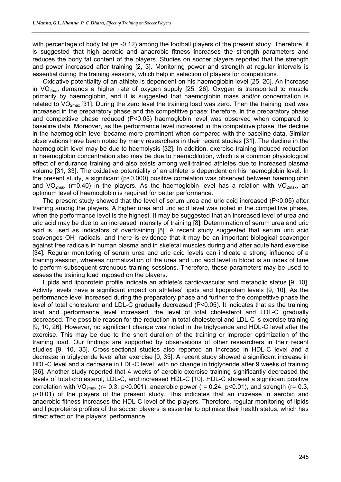with percentage of body fat (r= -0.12) among the football players of the present study. Therefore, it is suggested that high aerobic and anaerobic fitness increases the strength parameters and reduces the body fat content of the players. Studies on soccer players reported that the strength and power increased after training [2, 3]. Monitoring power and strength at regular intervals is essential during the training seasons, which help in selection of players for competitions.

Oxidative potentiality of an athlete is dependent on his haemoglobin level [25, 26]. An increase in  $VO<sub>2max</sub>$  demands a higher rate of oxygen supply [25, 26]. Oxygen is transported to muscle primarily by haemoglobin, and it is suggested that haemoglobin mass and/or concentration is related to  $VO_{2max}$  [31]. During the zero level the training load was zero. Then the training load was increased in the preparatory phase and the competitive phase; therefore, in the preparatory phase and competitive phase reduced (P<0.05) haemoglobin level was observed when compared to baseline data. Moreover, as the performance level increased in the competitive phase, the decline in the haemoglobin level became more prominent when compared with the baseline data. Similar observations have been noted by many researchers in their recent studies [31]. The decline in the haemoglobin level may be due to haemolysis [32]. In addition, exercise training induced reduction in haemoglobin concentration also may be due to haemodilution, which is a common physiological effect of endurance training and also exists among well-trained athletes due to increased plasma volume [31, 33]. The oxidative potentiality of an athlete is dependent on his haemoglobin level. In the present study, a significant (p<0.000) positive correlation was observed between haemoglobin and VO<sub>2max</sub> (r=0.40) in the players. As the haemoglobin level has a relation with VO<sub>2max</sub>, an optimum level of haemoglobin is required for better performance.

The present study showed that the level of serum urea and uric acid increased (P<0.05) after training among the players. A higher urea and uric acid level was noted in the competitive phase, when the performance level is the highest. It may be suggested that an increased level of urea and uric acid may be due to an increased intensity of training [8]. Determination of serum urea and uric acid is used as indicators of overtraining [8]. A recent study suggested that serum uric acid scavenges OH<sup>-</sup> radicals, and there is evidence that it may be an important biological scavenger against free radicals in human plasma and in skeletal muscles during and after acute hard exercise [34]. Regular monitoring of serum urea and uric acid levels can indicate a strong influence of a training session, whereas normalization of the urea and uric acid level in blood is an index of time to perform subsequent strenuous training sessions. Therefore, these parameters may be used to assess the training load imposed on the players.

Lipids and lipoprotein profile indicate an athlete's cardiovascular and metabolic status [9, 10]. Activity levels have a significant impact on athletes' lipids and lipoprotein levels [9, 10]. As the performance level increased during the preparatory phase and further to the competitive phase the level of total cholesterol and LDL-C gradually decreased  $(P< 0.05)$ . It indicates that as the training load and performance level increased, the level of total cholesterol and LDL-C gradually decreased. The possible reason for the reduction in total cholesterol and LDL-C is exercise training [9, 10, 26]. However, no significant change was noted in the triglyceride and HDL-C level after the exercise. This may be due to the short duration of the training or improper optimization of the training load. Our findings are supported by observations of other researchers in their recent studies [9, 10, 35]. Cross-sectional studies also reported an increase in HDL-C level and a decrease in triglyceride level after exercise [9, 35]. A recent study showed a significant increase in HDL-C level and a decrease in LDL-C level, with no change in triglyceride after 9 weeks of training [36]. Another study reported that 4 weeks of aerobic exercise training significantly decreased the levels of total cholesterol, LDL-C, and increased HDL-C [10]. HDL-C showed a significant positive correlation with  $VO_{2max}$  (r= 0.3, p<0.001), anaerobic power (r= 0.24, p<0.01), and strength (r= 0.3, p<0.01) of the players of the present study. This indicates that an increase in aerobic and anaerobic fitness increases the HDL-C level of the players. Therefore, regular monitoring of lipids and lipoproteins profiles of the soccer players is essential to optimize their health status, which has direct effect on the players' performance.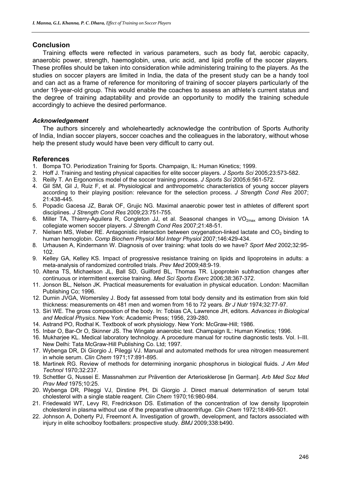# **Conclusion**

Training effects were reflected in various parameters, such as body fat, aerobic capacity, anaerobic power, strength, haemoglobin, urea, uric acid, and lipid profile of the soccer players. These profiles should be taken into consideration while administering training to the players. As the studies on soccer players are limited in India, the data of the present study can be a handy tool and can act as a frame of reference for monitoring of training of soccer players particularly of the under 19-year-old group. This would enable the coaches to assess an athlete's current status and the degree of training adaptability and provide an opportunity to modify the training schedule accordingly to achieve the desired performance.

# *Acknowledgement*

The authors sincerely and wholeheartedly acknowledge the contribution of Sports Authority of India, Indian soccer players, soccer coaches and the colleagues in the laboratory, without whose help the present study would have been very difficult to carry out.

# **References**

- 1. Bompa TO. Periodization Training for Sports. Champaign, IL: Human Kinetics; 1999.
- 2. Hoff J. Training and testing physical capacities for elite soccer players. *J Sports Sci* 2005;23:573-582.
- 3. Reilly T. An Ergonomics model of the soccer training process. *J Sports Sci* 2005;6:561-572.
- 4. Gil SM, Gil J, Ruiz F, et al. Physiological and anthropometric characteristics of young soccer players according to their playing position: relevance for the selection process. *J Strength Cond Res* 2007; 21:438-445.
- 5. Popadic Gacesa JZ, Barak OF, Grujic NG. Maximal anaerobic power test in athletes of different sport disciplines. *J Strength Cond Res* 2009;23:751-755.
- 6. Miller TA, Thierry-Aguilera R, Congleton JJ, et al. Seasonal changes in VO<sub>2max</sub> among Division 1A collegiate women soccer players. *J Strength Cond Res* 2007;21:48-51.
- 7. Nielsen MS, Weber RE. Antagonistic interaction between oxygenation-linked lactate and CO<sub>2</sub> binding to human hemoglobin. *Comp Biochem Physiol Mol Integr Physiol* 2007;146:429-434.
- 8. Urhausen A, Kindermann W. Diagnosis of over training: what tools do we have? *Sport Med* 2002;32:95- 102.
- 9. Kelley GA, Kelley KS. Impact of progressive resistance training on lipids and lipoproteins in adults: a meta-analysis of randomized controlled trials. *Prev Med* 2009;48:9-19.
- 10. Altena TS, Michaelson JL, Ball SD, Guilford BL, Thomas TR. Lipoprotein subfraction changes after continuous or intermittent exercise training. *Med Sci Sports Exerc* 2006;38:367-372.
- 11. Jonson BL, Nelson JK. Practical measurements for evaluation in physical education. London: Macmillan Publishing Co; 1996.
- 12. Durnin JVGA, Womersley J. Body fat assessed from total body density and its estimation from skin fold thickness: measurements on 481 men and women from 16 to 72 years. *Br J Nutr* 1974;32:77-97.
- 13. Siri WE. The gross composition of the body. In: Tobias CA, Lawrence JH, editors. *Advances in Biological and Medical Physics*. New York: Academic Press; 1956, 239-280.
- 14. Astrand PO, Rodhal K. Textbook of work physiology. New York: McGraw-Hill; 1986.
- 15. Inbar O, Bar-Or O, Skinner JS. The Wingate anaerobic test. Champaign IL: Human Kinetics; 1996.
- 16. Mukharjee KL. Medical laboratory technology. A procedure manual for routine diagnostic tests. Vol. I–III. New Delhi: Tata McGraw-Hill Publishing Co. Ltd; 1997.
- 17. Wybenga DR, Di Giorgio J, Pileggi VJ. Manual and automated methods for urea nitrogen measurement in whole serum. *Clin Chem* 1971;17:891-895.
- 18. Martinek RG. Review of methods for determining inorganic phosphorus in biological fluids. *J Am Med Technol* 1970;32:237.
- 19. Schettler G, Nussei E. Massnahmen zur Prävention der Arteriosklerose [in German]. *Arb Med Soz Med Prav Med* 1975;10:25.
- 20. Wybenga DR, Pileggi VJ, Dirstine PH, Di Giorgio J. Direct manual determination of serum total cholesterol with a single stable reagent. *Clin Chem* 1970;16:980-984.
- 21. Friedewald WT, Levy RI, Fredrickson DS. Estimation of the concentration of low density lipoprotein cholesterol in plasma without use of the preparative ultracentrifuge. *Clin Chem* 1972;18:499-501.
- 22. Johnson A, Doherty PJ, Freemont A. Investigation of growth, development, and factors associated with injury in elite schoolboy footballers: prospective study. *BMJ* 2009;338:b490.